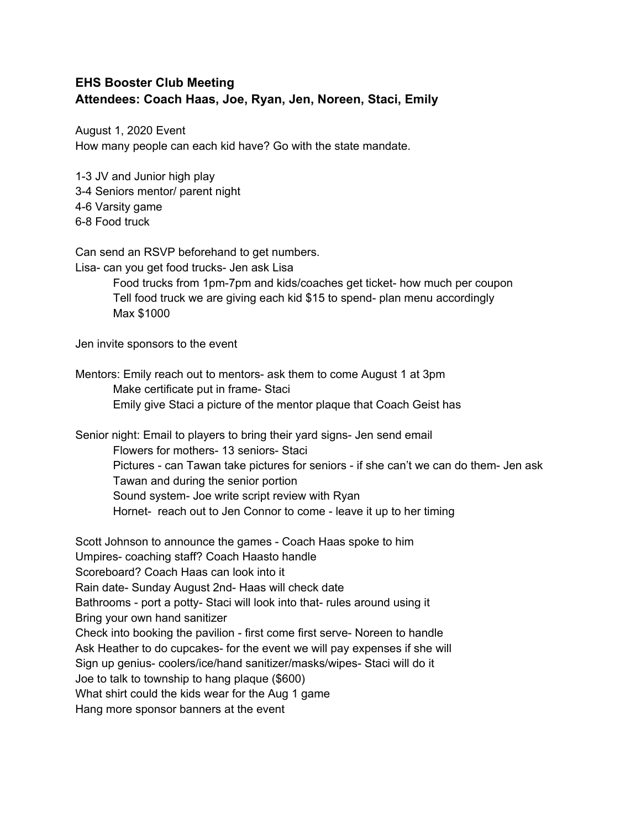## **EHS Booster Club Meeting Attendees: Coach Haas, Joe, Ryan, Jen, Noreen, Staci, Emily**

August 1, 2020 Event How many people can each kid have? Go with the state mandate.

1-3 JV and Junior high play 3-4 Seniors mentor/ parent night 4-6 Varsity game 6-8 Food truck

Can send an RSVP beforehand to get numbers.

Lisa- can you get food trucks- Jen ask Lisa

Food trucks from 1pm-7pm and kids/coaches get ticket- how much per coupon Tell food truck we are giving each kid \$15 to spend- plan menu accordingly Max \$1000

Jen invite sponsors to the event

Mentors: Emily reach out to mentors- ask them to come August 1 at 3pm Make certificate put in frame- Staci Emily give Staci a picture of the mentor plaque that Coach Geist has

Senior night: Email to players to bring their yard signs- Jen send email Flowers for mothers- 13 seniors- Staci Pictures - can Tawan take pictures for seniors - if she can't we can do them- Jen ask Tawan and during the senior portion Sound system- Joe write script review with Ryan Hornet- reach out to Jen Connor to come - leave it up to her timing

Scott Johnson to announce the games - Coach Haas spoke to him Umpires- coaching staff? Coach Haasto handle Scoreboard? Coach Haas can look into it Rain date- Sunday August 2nd- Haas will check date Bathrooms - port a potty- Staci will look into that- rules around using it Bring your own hand sanitizer Check into booking the pavilion - first come first serve- Noreen to handle Ask Heather to do cupcakes- for the event we will pay expenses if she will Sign up genius- coolers/ice/hand sanitizer/masks/wipes- Staci will do it Joe to talk to township to hang plaque (\$600) What shirt could the kids wear for the Aug 1 game Hang more sponsor banners at the event